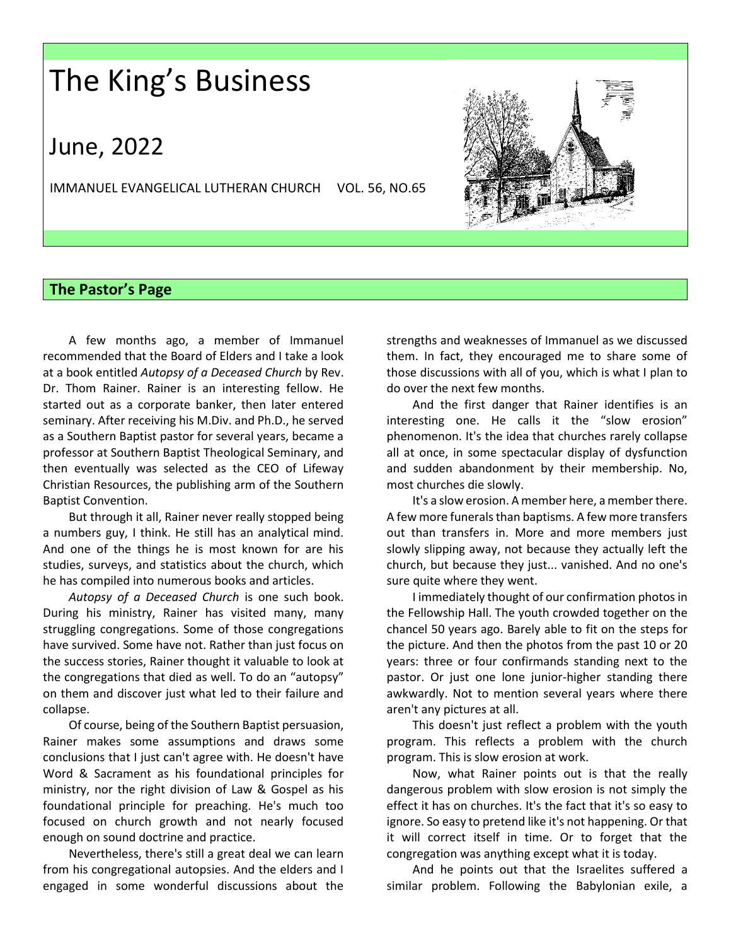## The King's Business

### June, 2022

IMMANUEL EVANGELICAL LUTHERAN CHURCH VOL. 56, NO.65



### **The Pastor's Page**

A few months ago, a member of Immanuel recommended that the Board of Elders and I take a look at a book entitled *Autopsy of a Deceased Church* by Rev. Dr. Thom Rainer. Rainer is an interesting fellow. He started out as a corporate banker, then later entered seminary. After receiving his M.Div. and Ph.D., he served as a Southern Baptist pastor for several years, became a professor at Southern Baptist Theological Seminary, and then eventually was selected as the CEO of Lifeway Christian Resources, the publishing arm of the Southern Baptist Convention.

But through it all, Rainer never really stopped being a numbers guy, I think. He still has an analytical mind. And one of the things he is most known for are his studies, surveys, and statistics about the church, which he has compiled into numerous books and articles.

*Autopsy of a Deceased Church* is one such book. During his ministry, Rainer has visited many, many struggling congregations. Some of those congregations have survived. Some have not. Rather than just focus on the success stories, Rainer thought it valuable to look at the congregations that died as well. To do an "autopsy" on them and discover just what led to their failure and collapse.

Of course, being of the Southern Baptist persuasion, Rainer makes some assumptions and draws some conclusions that I just can't agree with. He doesn't have Word & Sacrament as his foundational principles for ministry, nor the right division of Law & Gospel as his foundational principle for preaching. He's much too focused on church growth and not nearly focused enough on sound doctrine and practice.

Nevertheless, there's still a great deal we can learn from his congregational autopsies. And the elders and I engaged in some wonderful discussions about the strengths and weaknesses of Immanuel as we discussed them. In fact, they encouraged me to share some of those discussions with all of you, which is what I plan to do over the next few months.

And the first danger that Rainer identifies is an interesting one. He calls it the "slow erosion" phenomenon. It's the idea that churches rarely collapse all at once, in some spectacular display of dysfunction and sudden abandonment by their membership. No, most churches die slowly.

It's a slow erosion. A member here, a member there. A few more funerals than baptisms. A few more transfers out than transfers in. More and more members just slowly slipping away, not because they actually left the church, but because they just... vanished. And no one's sure quite where they went.

I immediately thought of our confirmation photos in the Fellowship Hall. The youth crowded together on the chancel 50 years ago. Barely able to fit on the steps for the picture. And then the photos from the past 10 or 20 years: three or four confirmands standing next to the pastor. Or just one lone junior-higher standing there awkwardly. Not to mention several years where there aren't any pictures at all.

This doesn't just reflect a problem with the youth program. This reflects a problem with the church program. This is slow erosion at work.

Now, what Rainer points out is that the really dangerous problem with slow erosion is not simply the effect it has on churches. It's the fact that it's so easy to ignore. So easy to pretend like it's not happening. Or that it will correct itself in time. Or to forget that the congregation was anything except what it is today.

And he points out that the Israelites suffered a similar problem. Following the Babylonian exile, a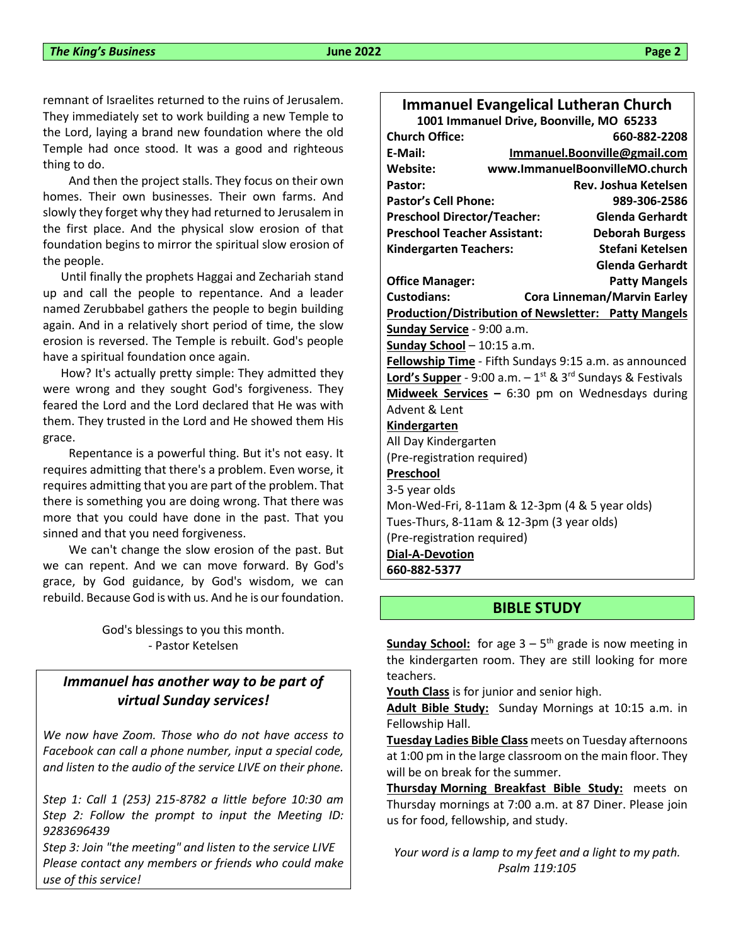remnant of Israelites returned to the ruins of Jerusalem. They immediately set to work building a new Temple to the Lord, laying a brand new foundation where the old Temple had once stood. It was a good and righteous thing to do.

And then the project stalls. They focus on their own homes. Their own businesses. Their own farms. And slowly they forget why they had returned to Jerusalem in the first place. And the physical slow erosion of that foundation begins to mirror the spiritual slow erosion of the people.

 Until finally the prophets Haggai and Zechariah stand up and call the people to repentance. And a leader named Zerubbabel gathers the people to begin building again. And in a relatively short period of time, the slow erosion is reversed. The Temple is rebuilt. God's people have a spiritual foundation once again.

 How? It's actually pretty simple: They admitted they were wrong and they sought God's forgiveness. They feared the Lord and the Lord declared that He was with them. They trusted in the Lord and He showed them His grace.

Repentance is a powerful thing. But it's not easy. It requires admitting that there's a problem. Even worse, it requires admitting that you are part of the problem. That there is something you are doing wrong. That there was more that you could have done in the past. That you sinned and that you need forgiveness.

We can't change the slow erosion of the past. But we can repent. And we can move forward. By God's grace, by God guidance, by God's wisdom, we can rebuild. Because God is with us. And he is our foundation.

> God's blessings to you this month. - Pastor Ketelsen

### *Immanuel has another way to be part of virtual Sunday services!*

*We now have Zoom. Those who do not have access to Facebook can call a phone number, input a special code, and listen to the audio of the service LIVE on their phone.*

*Step 1: Call 1 (253) 215-8782 a little before 10:30 am Step 2: Follow the prompt to input the Meeting ID: 9283696439*

*Step 3: Join "the meeting" and listen to the service LIVE Please contact any members or friends who could make use of this service!*

### **Immanuel Evangelical Lutheran Church**

| 1001 Immanuel Drive, Boonville, MO 65233                                          |                                                             |                        |  |  |
|-----------------------------------------------------------------------------------|-------------------------------------------------------------|------------------------|--|--|
| <b>Church Office:</b>                                                             |                                                             | 660-882-2208           |  |  |
| E-Mail:                                                                           | Immanuel.Boonville@gmail.com                                |                        |  |  |
| Website:                                                                          | www.ImmanuelBoonvilleMO.church                              |                        |  |  |
| Pastor:                                                                           |                                                             | Rev. Joshua Ketelsen   |  |  |
| <b>Pastor's Cell Phone:</b>                                                       |                                                             | 989-306-2586           |  |  |
| <b>Preschool Director/Teacher:</b>                                                |                                                             | <b>Glenda Gerhardt</b> |  |  |
| <b>Preschool Teacher Assistant:</b>                                               |                                                             | <b>Deborah Burgess</b> |  |  |
| <b>Kindergarten Teachers:</b>                                                     |                                                             | Stefani Ketelsen       |  |  |
|                                                                                   |                                                             | Glenda Gerhardt        |  |  |
| <b>Office Manager:</b>                                                            |                                                             | <b>Patty Mangels</b>   |  |  |
| <b>Custodians:</b>                                                                | <b>Cora Linneman/Marvin Earley</b>                          |                        |  |  |
|                                                                                   | <b>Production/Distribution of Newsletter: Patty Mangels</b> |                        |  |  |
| Sunday Service - 9:00 a.m.                                                        |                                                             |                        |  |  |
| Sunday School - 10:15 a.m.                                                        |                                                             |                        |  |  |
| Fellowship Time - Fifth Sundays 9:15 a.m. as announced                            |                                                             |                        |  |  |
| Lord's Supper - 9:00 a.m. - 1 <sup>st</sup> & 3 <sup>rd</sup> Sundays & Festivals |                                                             |                        |  |  |
|                                                                                   | Midweek Services - 6:30 pm on Wednesdays during             |                        |  |  |
| Advent & Lent                                                                     |                                                             |                        |  |  |
| Kindergarten                                                                      |                                                             |                        |  |  |
| All Day Kindergarten                                                              |                                                             |                        |  |  |
| (Pre-registration required)                                                       |                                                             |                        |  |  |
| Preschool                                                                         |                                                             |                        |  |  |
| 3-5 year olds                                                                     |                                                             |                        |  |  |
| Mon-Wed-Fri, 8-11am & 12-3pm (4 & 5 year olds)                                    |                                                             |                        |  |  |
| Tues-Thurs, 8-11am & 12-3pm (3 year olds)                                         |                                                             |                        |  |  |
| (Pre-registration required)                                                       |                                                             |                        |  |  |
| <b>Dial-A-Devotion</b>                                                            |                                                             |                        |  |  |
| 660-882-5377                                                                      |                                                             |                        |  |  |
|                                                                                   |                                                             |                        |  |  |

### **BIBLE STUDY**

**Sunday School:** for age 3 – 5 th grade is now meeting in the kindergarten room. They are still looking for more teachers.

**Youth Class** is for junior and senior high.

**Adult Bible Study:** Sunday Mornings at 10:15 a.m. in Fellowship Hall.

**Tuesday Ladies Bible Class** meets on Tuesday afternoons at 1:00 pm in the large classroom on the main floor. They will be on break for the summer.

**Thursday Morning Breakfast Bible Study:** meets on Thursday mornings at 7:00 a.m. at 87 Diner. Please join us for food, fellowship, and study.

*Your word is a lamp to my feet and a light to my path. Psalm 119:105*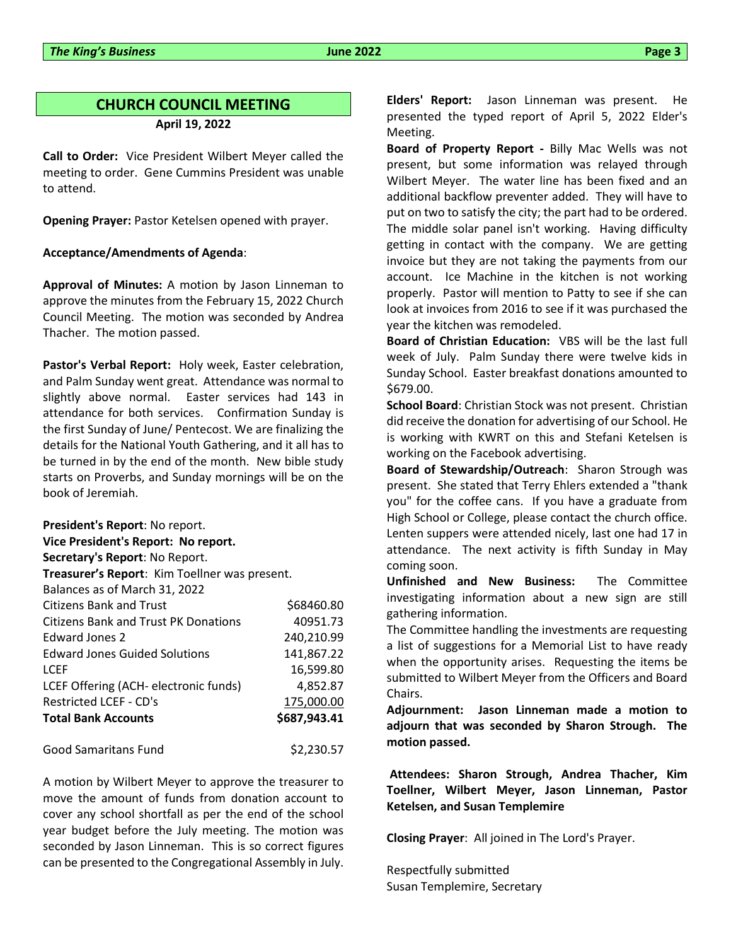### **CHURCH COUNCIL MEETING April 19, 2022**

**Call to Order:** Vice President Wilbert Meyer called the meeting to order. Gene Cummins President was unable to attend.

**Opening Prayer:** Pastor Ketelsen opened with prayer.

#### **Acceptance/Amendments of Agenda**:

**Approval of Minutes:** A motion by Jason Linneman to approve the minutes from the February 15, 2022 Church Council Meeting. The motion was seconded by Andrea Thacher. The motion passed.

**Pastor's Verbal Report:** Holy week, Easter celebration, and Palm Sunday went great. Attendance was normal to slightly above normal. Easter services had 143 in attendance for both services. Confirmation Sunday is the first Sunday of June/ Pentecost. We are finalizing the details for the National Youth Gathering, and it all has to be turned in by the end of the month. New bible study starts on Proverbs, and Sunday mornings will be on the book of Jeremiah.

| President's Report: No report.                |              |  |  |  |
|-----------------------------------------------|--------------|--|--|--|
| Vice President's Report: No report.           |              |  |  |  |
| Secretary's Report: No Report.                |              |  |  |  |
| Treasurer's Report: Kim Toellner was present. |              |  |  |  |
| Balances as of March 31, 2022                 |              |  |  |  |
| Citizens Bank and Trust                       | \$68460.80   |  |  |  |
| Citizens Bank and Trust PK Donations          | 40951.73     |  |  |  |
| Edward Jones 2                                | 240,210.99   |  |  |  |
| <b>Edward Jones Guided Solutions</b>          | 141,867.22   |  |  |  |
| <b>LCEF</b>                                   | 16,599.80    |  |  |  |
| LCEF Offering (ACH- electronic funds)         | 4,852.87     |  |  |  |
| Restricted LCEF - CD's                        | 175,000.00   |  |  |  |
| <b>Total Bank Accounts</b>                    | \$687,943.41 |  |  |  |
| Good Samaritans Fund                          | \$2,230.57   |  |  |  |

A motion by Wilbert Meyer to approve the treasurer to move the amount of funds from donation account to cover any school shortfall as per the end of the school year budget before the July meeting. The motion was seconded by Jason Linneman. This is so correct figures can be presented to the Congregational Assembly in July.

**Elders' Report:** Jason Linneman was present. He presented the typed report of April 5, 2022 Elder's Meeting.

**Board of Property Report -** Billy Mac Wells was not present, but some information was relayed through Wilbert Meyer. The water line has been fixed and an additional backflow preventer added. They will have to put on two to satisfy the city; the part had to be ordered. The middle solar panel isn't working. Having difficulty getting in contact with the company. We are getting invoice but they are not taking the payments from our account. Ice Machine in the kitchen is not working properly. Pastor will mention to Patty to see if she can look at invoices from 2016 to see if it was purchased the year the kitchen was remodeled.

**Board of Christian Education:** VBS will be the last full week of July. Palm Sunday there were twelve kids in Sunday School. Easter breakfast donations amounted to \$679.00.

**School Board**: Christian Stock was not present. Christian did receive the donation for advertising of our School. He is working with KWRT on this and Stefani Ketelsen is working on the Facebook advertising.

**Board of Stewardship/Outreach**: Sharon Strough was present. She stated that Terry Ehlers extended a "thank you" for the coffee cans. If you have a graduate from High School or College, please contact the church office. Lenten suppers were attended nicely, last one had 17 in attendance. The next activity is fifth Sunday in May coming soon.

**Unfinished and New Business:** The Committee investigating information about a new sign are still gathering information.

The Committee handling the investments are requesting a list of suggestions for a Memorial List to have ready when the opportunity arises. Requesting the items be submitted to Wilbert Meyer from the Officers and Board Chairs.

**Adjournment: Jason Linneman made a motion to adjourn that was seconded by Sharon Strough. The motion passed.**

**Attendees: Sharon Strough, Andrea Thacher, Kim Toellner, Wilbert Meyer, Jason Linneman, Pastor Ketelsen, and Susan Templemire**

**Closing Prayer**: All joined in The Lord's Prayer.

Respectfully submitted Susan Templemire, Secretary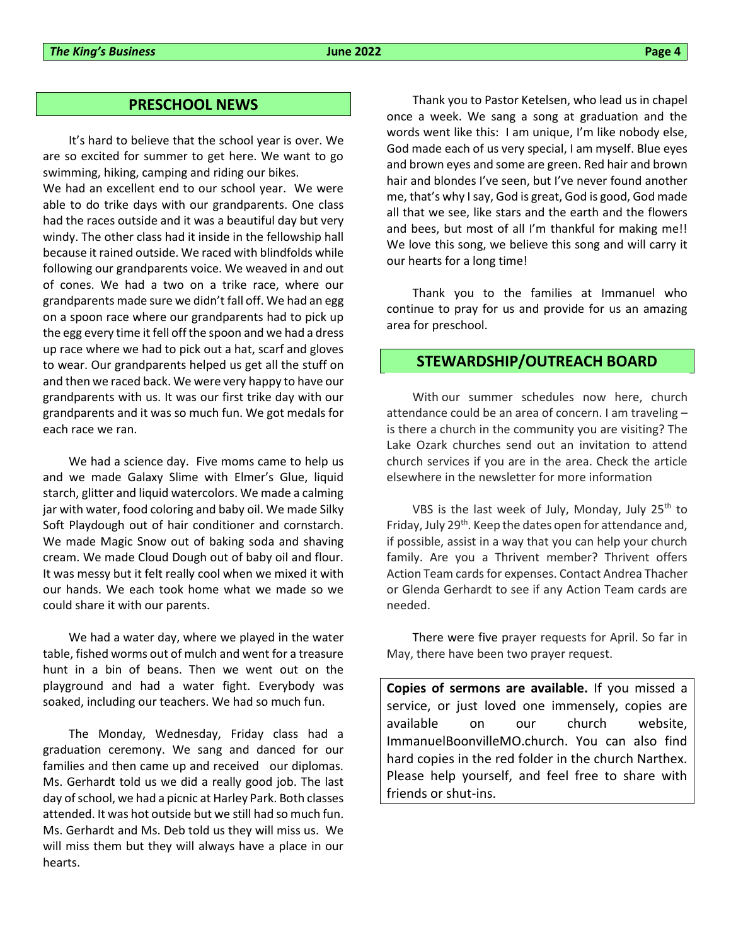#### **PRESCHOOL NEWS**

It's hard to believe that the school year is over. We are so excited for summer to get here. We want to go swimming, hiking, camping and riding our bikes.

We had an excellent end to our school year. We were able to do trike days with our grandparents. One class had the races outside and it was a beautiful day but very windy. The other class had it inside in the fellowship hall because it rained outside. We raced with blindfolds while following our grandparents voice. We weaved in and out of cones. We had a two on a trike race, where our grandparents made sure we didn't fall off. We had an egg on a spoon race where our grandparents had to pick up the egg every time it fell off the spoon and we had a dress up race where we had to pick out a hat, scarf and gloves to wear. Our grandparents helped us get all the stuff on and then we raced back. We were very happy to have our grandparents with us. It was our first trike day with our grandparents and it was so much fun. We got medals for each race we ran.

We had a science day. Five moms came to help us and we made Galaxy Slime with Elmer's Glue, liquid starch, glitter and liquid watercolors. We made a calming jar with water, food coloring and baby oil. We made Silky Soft Playdough out of hair conditioner and cornstarch. We made Magic Snow out of baking soda and shaving cream. We made Cloud Dough out of baby oil and flour. It was messy but it felt really cool when we mixed it with our hands. We each took home what we made so we could share it with our parents.

We had a water day, where we played in the water table, fished worms out of mulch and went for a treasure hunt in a bin of beans. Then we went out on the playground and had a water fight. Everybody was soaked, including our teachers. We had so much fun.

The Monday, Wednesday, Friday class had a graduation ceremony. We sang and danced for our families and then came up and received our diplomas. Ms. Gerhardt told us we did a really good job. The last day of school, we had a picnic at Harley Park. Both classes attended. It was hot outside but we still had so much fun. Ms. Gerhardt and Ms. Deb told us they will miss us. We will miss them but they will always have a place in our hearts.

Thank you to Pastor Ketelsen, who lead us in chapel once a week. We sang a song at graduation and the words went like this: I am unique, I'm like nobody else, God made each of us very special, I am myself. Blue eyes and brown eyes and some are green. Red hair and brown hair and blondes I've seen, but I've never found another me, that's why I say, God is great, God is good, God made all that we see, like stars and the earth and the flowers and bees, but most of all I'm thankful for making me!! We love this song, we believe this song and will carry it our hearts for a long time!

Thank you to the families at Immanuel who continue to pray for us and provide for us an amazing area for preschool.

#### **STEWARDSHIP/OUTREACH BOARD**

With our summer schedules now here, church attendance could be an area of concern. I am traveling – is there a church in the community you are visiting? The Lake Ozark churches send out an invitation to attend church services if you are in the area. Check the article elsewhere in the newsletter for more information

VBS is the last week of July, Monday, July  $25<sup>th</sup>$  to Friday, July 29<sup>th</sup>. Keep the dates open for attendance and, if possible, assist in a way that you can help your church family. Are you a Thrivent member? Thrivent offers Action Team cards for expenses. Contact Andrea Thacher or Glenda Gerhardt to see if any Action Team cards are needed.

There were five prayer requests for April. So far in May, there have been two prayer request.

**Copies of sermons are available.** If you missed a service, or just loved one immensely, copies are available on our church website, ImmanuelBoonvilleMO.church. You can also find hard copies in the red folder in the church Narthex. Please help yourself, and feel free to share with friends or shut-ins.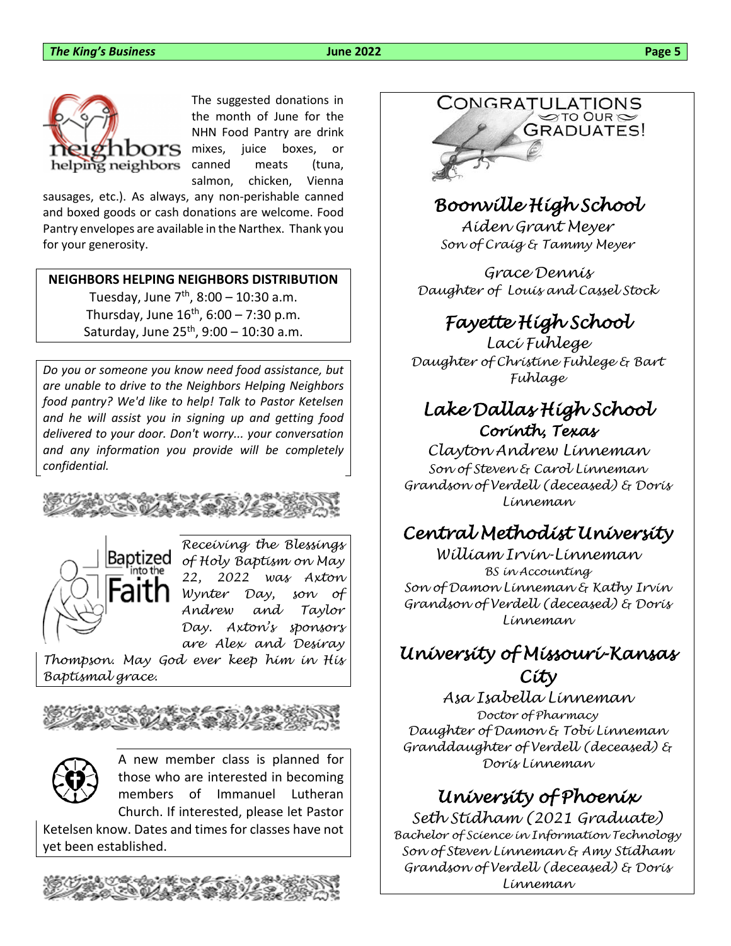

The suggested donations in the month of June for the NHN Food Pantry are drink mixes, juice boxes, or canned meats (tuna, salmon, chicken, Vienna

sausages, etc.). As always, any non-perishable canned and boxed goods or cash donations are welcome. Food Pantry envelopes are available in the Narthex. Thank you for your generosity.

### **NEIGHBORS HELPING NEIGHBORS DISTRIBUTION**

Tuesday, June 7<sup>th</sup>, 8:00 – 10:30 a.m. Thursday, June 16<sup>th</sup>, 6:00 – 7:30 p.m. Saturday, June 25<sup>th</sup>, 9:00 – 10:30 a.m.

*Do you or someone you know need food assistance, but are unable to drive to the Neighbors Helping Neighbors food pantry? We'd like to help! Talk to Pastor Ketelsen and he will assist you in signing up and getting food delivered to your door. Don't worry... your conversation and any information you provide will be completely confidential.*





*Receiving the Blessings of Holy Baptism on May 22, 2022 was Axton Wynter Day, son of Andrew and Taylor Day. Axton's sponsors are Alex and Desiray* 

*Thompson. May God ever keep him in His Baptismal grace.*



A new member class is planned for those who are interested in becoming members of Immanuel Lutheran Church. If interested, please let Pastor

Ketelsen know. Dates and times for classes have not yet been established.



# CONGRATULATIONS GRADUATES!

### *Boonville High School*

*Aiden Grant Meyer Son of Craig & Tammy Meyer*

*Grace Dennis Daughter of Louis and Cassel Stock*

### *Fayette High School*

*Laci Fuhlege Daughter of Christine Fuhlege & Bart Fuhlage*

### *Lake Dallas High School Corinth, Texas*

*Clayton Andrew Linneman Son of Steven & Carol Linneman Grandson of Verdell (deceased) & Doris Linneman*

### *Central Methodist University*

*William Irvin-Linneman BS in Accounting Son of Damon Linneman & Kathy Irvin Grandson of Verdell (deceased) & Doris Linneman*

### *University of Missouri-Kansas City*

*Asa Isabella Linneman Doctor of Pharmacy Daughter of Damon & Tobi Linneman Granddaughter of Verdell (deceased) & Doris Linneman*

### *University of Phoenix*

*Seth Stidham (2021 Graduate) Bachelor of Science in Information Technology Son of Steven Linneman & Amy Stidham Grandson of Verdell (deceased) & Doris Linneman*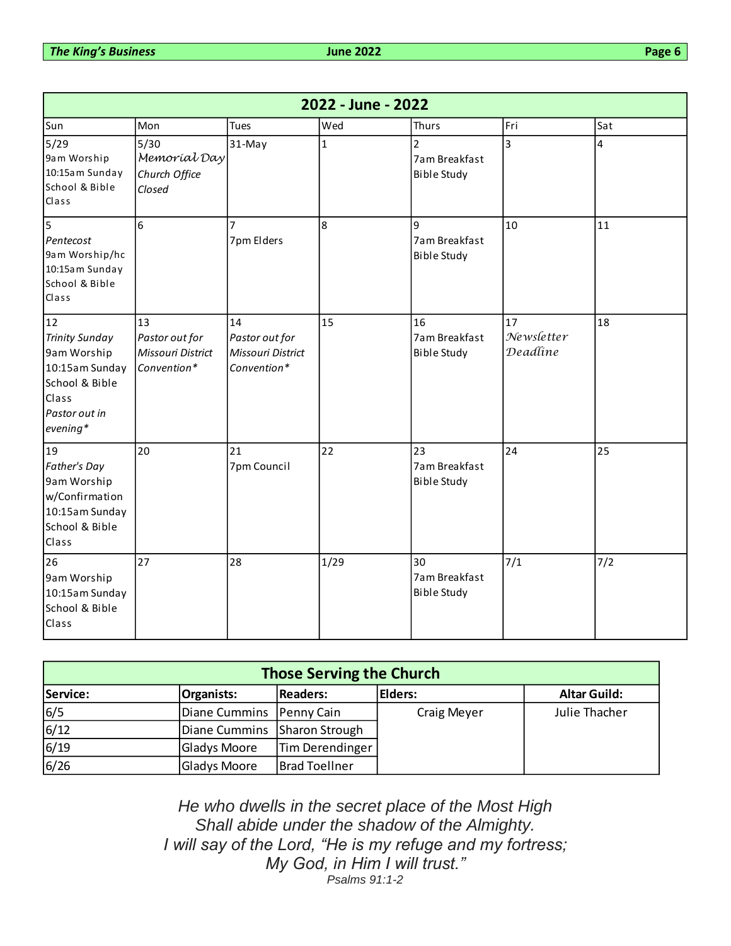| 2022 - June - 2022                                                                                                     |                                                          |                                                          |                |                                                       |                              |     |
|------------------------------------------------------------------------------------------------------------------------|----------------------------------------------------------|----------------------------------------------------------|----------------|-------------------------------------------------------|------------------------------|-----|
| Sun                                                                                                                    | Mon                                                      | Tues                                                     | Wed            | <b>Thurs</b>                                          | Fri                          | Sat |
| 5/29<br>9am Worship<br>10:15am Sunday<br>School & Bible<br>Class                                                       | $5/30$<br>Memoríal Day<br>Church Office<br>Closed        | 31-May                                                   | $\mathbf{1}$   | $\overline{2}$<br>7am Breakfast<br><b>Bible Study</b> | 3                            | 4   |
| $\overline{5}$<br>Pentecost<br>9am Worship/hc<br>10:15am Sunday<br>School & Bible<br>Class                             | 6                                                        | 7<br>7pm Elders                                          | $\overline{8}$ | $\mathbf{q}$<br>7am Breakfast<br><b>Bible Study</b>   | 10                           | 11  |
| 12<br><b>Trinity Sunday</b><br>9am Worship<br>10:15am Sunday<br>School & Bible<br>Class<br>Pastor out in<br>$evening*$ | 13<br>Pastor out for<br>Missouri District<br>Convention* | 14<br>Pastor out for<br>Missouri District<br>Convention* | 15             | 16<br>7am Breakfast<br><b>Bible Study</b>             | 17<br>Newsletter<br>Deadline | 18  |
| 19<br>Father's Day<br>9am Worship<br>w/Confirmation<br>10:15am Sunday<br>School & Bible<br>Class                       | 20                                                       | 21<br>7pm Council                                        | 22             | 23<br>7am Breakfast<br><b>Bible Study</b>             | 24                           | 25  |
| 26<br>9am Worship<br>10:15am Sunday<br>School & Bible<br>Class                                                         | 27                                                       | 28                                                       | 1/29           | 30<br>7am Breakfast<br><b>Bible Study</b>             | 7/1                          | 7/2 |

| <b>Those Serving the Church</b> |                              |                      |             |                     |
|---------------------------------|------------------------------|----------------------|-------------|---------------------|
| Service:                        | <b>Organists:</b>            | <b>Readers:</b>      | Elders:     | <b>Altar Guild:</b> |
| 6/5                             | Diane Cummins   Penny Cain   |                      | Craig Meyer | Julie Thacher       |
| 6/12                            | Diane Cummins Sharon Strough |                      |             |                     |
| 6/19                            | Gladys Moore                 | Tim Derendinger      |             |                     |
| 6/26                            | <b>Gladys Moore</b>          | <b>Brad Toellner</b> |             |                     |

*He who dwells in the secret place of the Most High Shall abide under the shadow of the Almighty. I will say of the Lord, "He is my refuge and my fortress; My God, in Him I will trust." Psalms 91:1-2*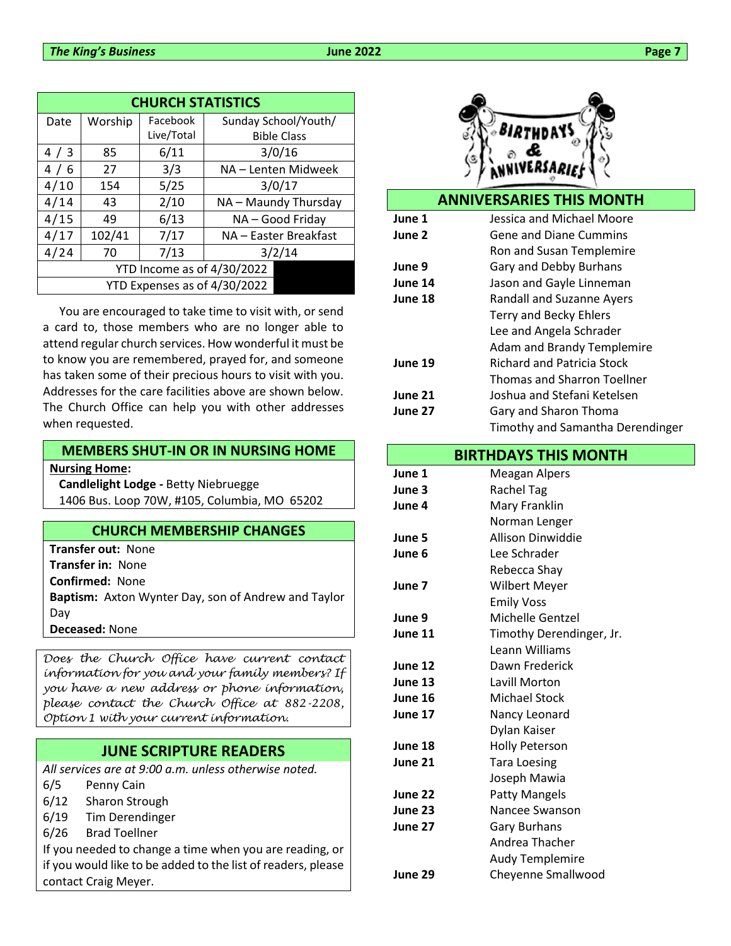| <b>CHURCH STATISTICS</b>     |         |            |                       |
|------------------------------|---------|------------|-----------------------|
| Date                         | Worship | Facebook   | Sunday School/Youth/  |
|                              |         | Live/Total | <b>Bible Class</b>    |
| 4/3                          | 85      | 6/11       | 3/0/16                |
| 4/6                          | 27      | 3/3        | NA - Lenten Midweek   |
| 4/10                         | 154     | 5/25       | 3/0/17                |
| 4/14                         | 43      | 2/10       | NA - Maundy Thursday  |
| 4/15                         | 49      | 6/13       | NA-Good Friday        |
| 4/17                         | 102/41  | 7/17       | NA - Easter Breakfast |
| 4/24                         | 70      | 7/13       | 3/2/14                |
| YTD Income as of 4/30/2022   |         |            |                       |
| YTD Expenses as of 4/30/2022 |         |            |                       |

You are encouraged to take time to visit with, or send a card to, those members who are no longer able to attend regular church services. How wonderful it must be to know you are remembered, prayed for, and someone has taken some of their precious hours to visit with you. Addresses for the care facilities above are shown below. The Church Office can help you with other addresses when requested.

#### **MEMBERS SHUT-IN OR IN NURSING HOME**

**Nursing Home:**

**Candlelight Lodge -** Betty Niebruegge 1406 Bus. Loop 70W, #105, Columbia, MO 65202

#### **CHURCH MEMBERSHIP CHANGES**

**Transfer out:** None **Transfer in:** None **Confirmed:** None **Baptism:** Axton Wynter Day, son of Andrew and Taylor Day **Deceased:** None

*Does the Church Office have current contact information for you and your family members? If you have a new address or phone information, please contact the Church Office at 882-2208, Option 1 with your current information.*

### **JUNE SCRIPTURE READERS**

*All services are at 9:00 a.m. unless otherwise noted.*

- 6/5 Penny Cain
- 6/12 Sharon Strough
- 6/19 Tim Derendinger
- 6/26 Brad Toellner

If you needed to change a time when you are reading, or if you would like to be added to the list of readers, please contact Craig Meyer.



#### **ANNIVERSARIES THIS MONTH**

| June 1  | Jessica and Michael Moore          |
|---------|------------------------------------|
| June 2  | <b>Gene and Diane Cummins</b>      |
|         | Ron and Susan Templemire           |
| June 9  | Gary and Debby Burhans             |
| June 14 | Jason and Gayle Linneman           |
| June 18 | Randall and Suzanne Ayers          |
|         | <b>Terry and Becky Ehlers</b>      |
|         | Lee and Angela Schrader            |
|         | <b>Adam and Brandy Templemire</b>  |
| June 19 | <b>Richard and Patricia Stock</b>  |
|         | <b>Thomas and Sharron Toellner</b> |
| June 21 | Joshua and Stefani Ketelsen        |
| June 27 | Gary and Sharon Thoma              |
|         | Timothy and Samantha Derendinger   |

#### **BIRTHDAYS THIS MONTH**

| June 1  | Meagan Alpers            |
|---------|--------------------------|
| June 3  | Rachel Tag               |
| June 4  | Mary Franklin            |
|         | Norman Lenger            |
| June 5  | Allison Dinwiddie        |
| June 6  | Lee Schrader             |
|         | Rebecca Shay             |
| June 7  | <b>Wilbert Meyer</b>     |
|         | <b>Emily Voss</b>        |
| June 9  | <b>Michelle Gentzel</b>  |
| June 11 | Timothy Derendinger, Jr. |
|         | Leann Williams           |
| June 12 | Dawn Frederick           |
| June 13 | Lavill Morton            |
| June 16 | <b>Michael Stock</b>     |
| June 17 | Nancy Leonard            |
|         | Dylan Kaiser             |
| June 18 | <b>Holly Peterson</b>    |
| June 21 | <b>Tara Loesing</b>      |
|         | Joseph Mawia             |
| June 22 | Patty Mangels            |
| June 23 | Nancee Swanson           |
| June 27 | <b>Gary Burhans</b>      |
|         | Andrea Thacher           |
|         | <b>Audy Templemire</b>   |
| June 29 | Cheyenne Smallwood       |